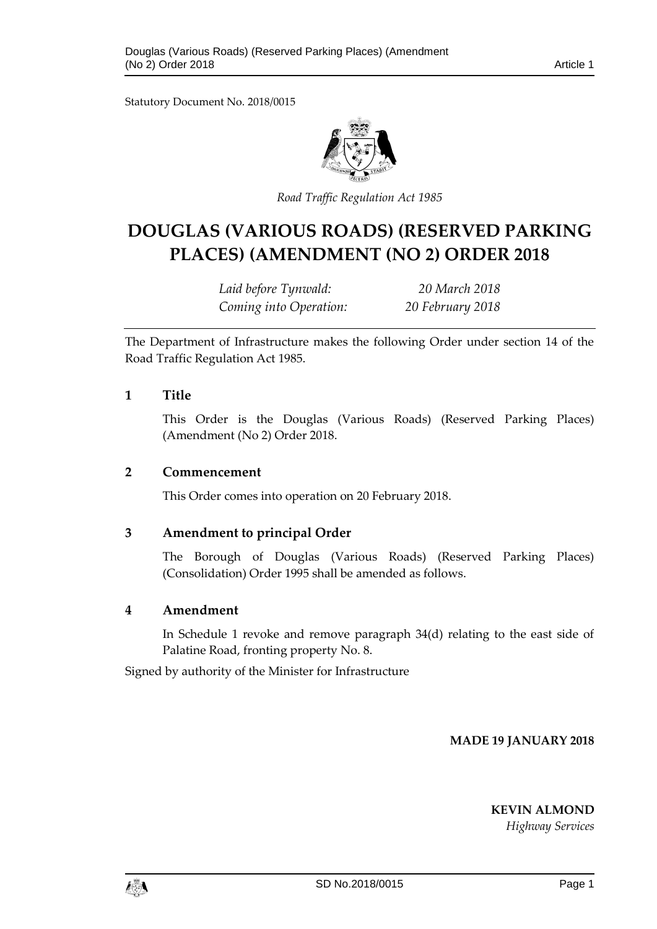Statutory Document No. 2018/0015



*Road Traffic Regulation Act 1985*

# **DOUGLAS (VARIOUS ROADS) (RESERVED PARKING PLACES) (AMENDMENT (NO 2) ORDER 2018**

*Laid before Tynwald: 20 March 2018 Coming into Operation: 20 February 2018*

The Department of Infrastructure makes the following Order under section 14 of the Road Traffic Regulation Act 1985.

### **1 Title**

This Order is the Douglas (Various Roads) (Reserved Parking Places) (Amendment (No 2) Order 2018.

#### **2 Commencement**

This Order comes into operation on 20 February 2018.

### **3 Amendment to principal Order**

The Borough of Douglas (Various Roads) (Reserved Parking Places) (Consolidation) Order 1995 shall be amended as follows.

### **4 Amendment**

In Schedule 1 revoke and remove paragraph 34(d) relating to the east side of Palatine Road, fronting property No. 8.

Signed by authority of the Minister for Infrastructure

**MADE 19 JANUARY 2018**

**KEVIN ALMOND**

*Highway Services*